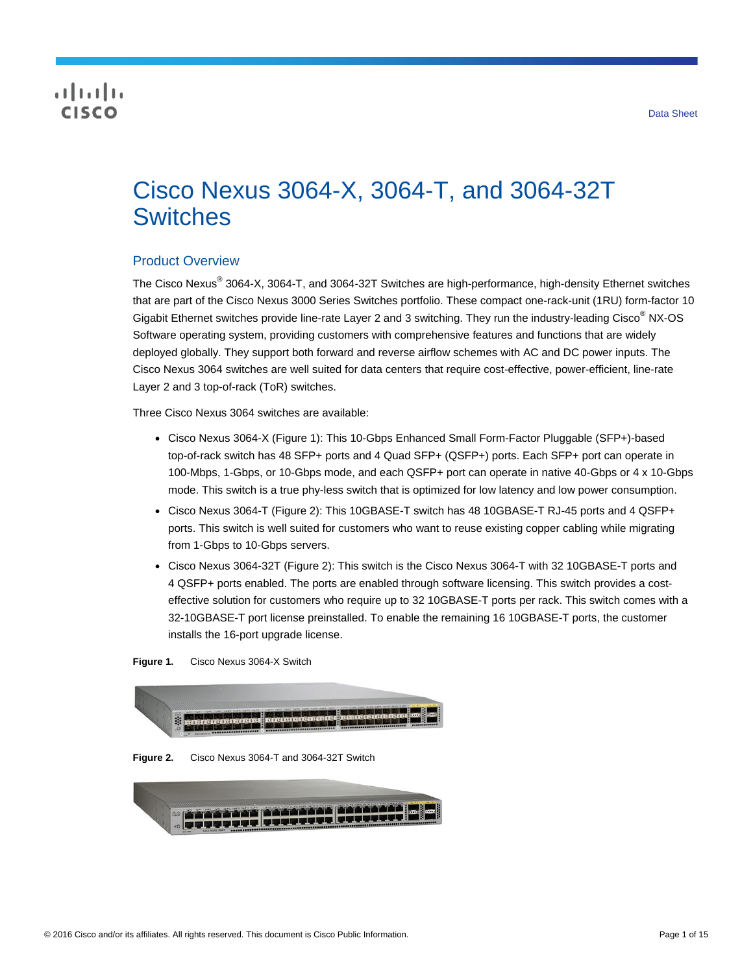# **CISCO**

# Cisco Nexus 3064-X, 3064-T, and 3064-32T **Switches**

# Product Overview

The Cisco Nexus® 3064-X, 3064-T, and 3064-32T Switches are high-performance, high-density Ethernet switches that are part of the Cisco Nexus 3000 Series Switches portfolio. These compact one-rack-unit (1RU) form-factor 10 Gigabit Ethernet switches provide line-rate Layer 2 and 3 switching. They run the industry-leading Cisco® NX-OS Software operating system, providing customers with comprehensive features and functions that are widely deployed globally. They support both forward and reverse airflow schemes with AC and DC power inputs. The Cisco Nexus 3064 switches are well suited for data centers that require cost-effective, power-efficient, line-rate Layer 2 and 3 top-of-rack (ToR) switches.

Three Cisco Nexus 3064 switches are available:

- Cisco Nexus 3064-X (Figure 1): This 10-Gbps Enhanced Small Form-Factor Pluggable (SFP+)-based top-of-rack switch has 48 SFP+ ports and 4 Quad SFP+ (QSFP+) ports. Each SFP+ port can operate in 100-Mbps, 1-Gbps, or 10-Gbps mode, and each QSFP+ port can operate in native 40-Gbps or 4 x 10-Gbps mode. This switch is a true phy-less switch that is optimized for low latency and low power consumption.
- Cisco Nexus 3064-T (Figure 2): This 10GBASE-T switch has 48 10GBASE-T RJ-45 ports and 4 QSFP+ ports. This switch is well suited for customers who want to reuse existing copper cabling while migrating from 1-Gbps to 10-Gbps servers.
- Cisco Nexus 3064-32T (Figure 2): This switch is the Cisco Nexus 3064-T with 32 10GBASE-T ports and 4 QSFP+ ports enabled. The ports are enabled through software licensing. This switch provides a costeffective solution for customers who require up to 32 10GBASE-T ports per rack. This switch comes with a 32-10GBASE-T port license preinstalled. To enable the remaining 16 10GBASE-T ports, the customer installs the 16-port upgrade license.

**Figure 1.** Cisco Nexus 3064-X Switch



**Figure 2.** Cisco Nexus 3064-T and 3064-32T Switch

| varatas (1922) dali (1941)<br>Vesturu superput populari |  |  |  |
|---------------------------------------------------------|--|--|--|
|                                                         |  |  |  |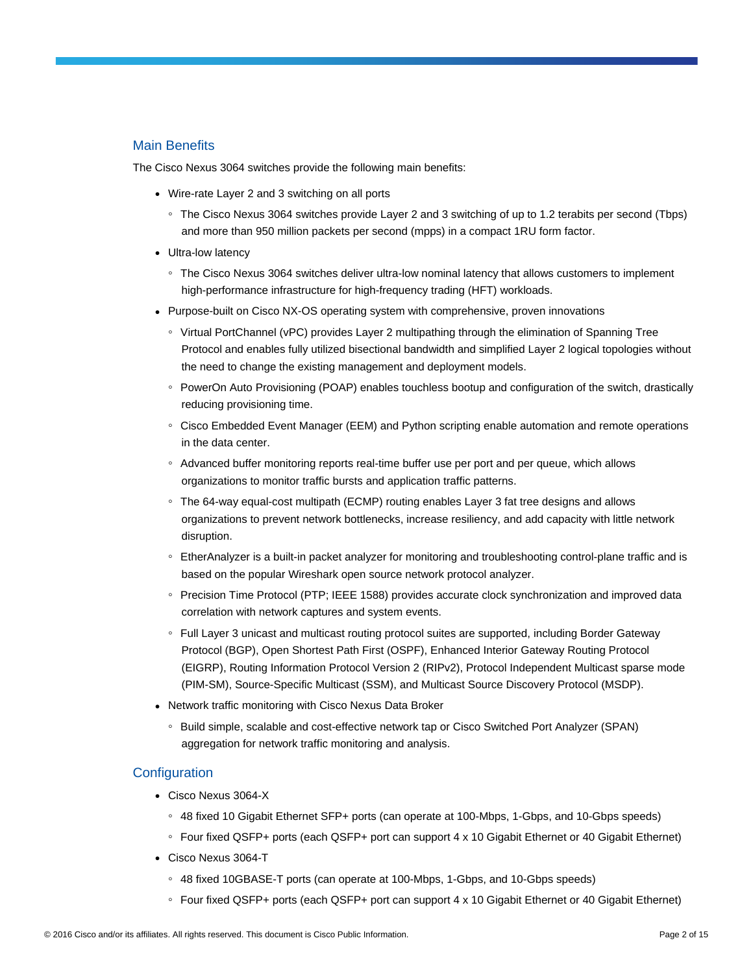# Main Benefits

The Cisco Nexus 3064 switches provide the following main benefits:

- Wire-rate Layer 2 and 3 switching on all ports
	- The Cisco Nexus 3064 switches provide Layer 2 and 3 switching of up to 1.2 terabits per second (Tbps) and more than 950 million packets per second (mpps) in a compact 1RU form factor.
- Ultra-low latency
	- The Cisco Nexus 3064 switches deliver ultra-low nominal latency that allows customers to implement high-performance infrastructure for high-frequency trading (HFT) workloads.
- Purpose-built on Cisco NX-OS operating system with comprehensive, proven innovations
	- Virtual PortChannel (vPC) provides Layer 2 multipathing through the elimination of Spanning Tree Protocol and enables fully utilized bisectional bandwidth and simplified Layer 2 logical topologies without the need to change the existing management and deployment models.
	- PowerOn Auto Provisioning (POAP) enables touchless bootup and configuration of the switch, drastically reducing provisioning time.
	- Cisco Embedded Event Manager (EEM) and Python scripting enable automation and remote operations in the data center.
	- Advanced buffer monitoring reports real-time buffer use per port and per queue, which allows organizations to monitor traffic bursts and application traffic patterns.
	- The 64-way equal-cost multipath (ECMP) routing enables Layer 3 fat tree designs and allows organizations to prevent network bottlenecks, increase resiliency, and add capacity with little network disruption.
	- EtherAnalyzer is a built-in packet analyzer for monitoring and troubleshooting control-plane traffic and is based on the popular Wireshark open source network protocol analyzer.
	- Precision Time Protocol (PTP; IEEE 1588) provides accurate clock synchronization and improved data correlation with network captures and system events.
	- Full Layer 3 unicast and multicast routing protocol suites are supported, including Border Gateway Protocol (BGP), Open Shortest Path First (OSPF), Enhanced Interior Gateway Routing Protocol (EIGRP), Routing Information Protocol Version 2 (RIPv2), Protocol Independent Multicast sparse mode (PIM-SM), Source-Specific Multicast (SSM), and Multicast Source Discovery Protocol (MSDP).
- Network traffic monitoring with Cisco Nexus Data Broker
	- Build simple, scalable and cost-effective network tap or Cisco Switched Port Analyzer (SPAN) aggregation for network traffic monitoring and analysis.

### **Configuration**

- Cisco Nexus 3064-X
	- 48 fixed 10 Gigabit Ethernet SFP+ ports (can operate at 100-Mbps, 1-Gbps, and 10-Gbps speeds)
	- Four fixed QSFP+ ports (each QSFP+ port can support 4 x 10 Gigabit Ethernet or 40 Gigabit Ethernet)
- Cisco Nexus 3064-T
	- 48 fixed 10GBASE-T ports (can operate at 100-Mbps, 1-Gbps, and 10-Gbps speeds)
	- Four fixed QSFP+ ports (each QSFP+ port can support 4 x 10 Gigabit Ethernet or 40 Gigabit Ethernet)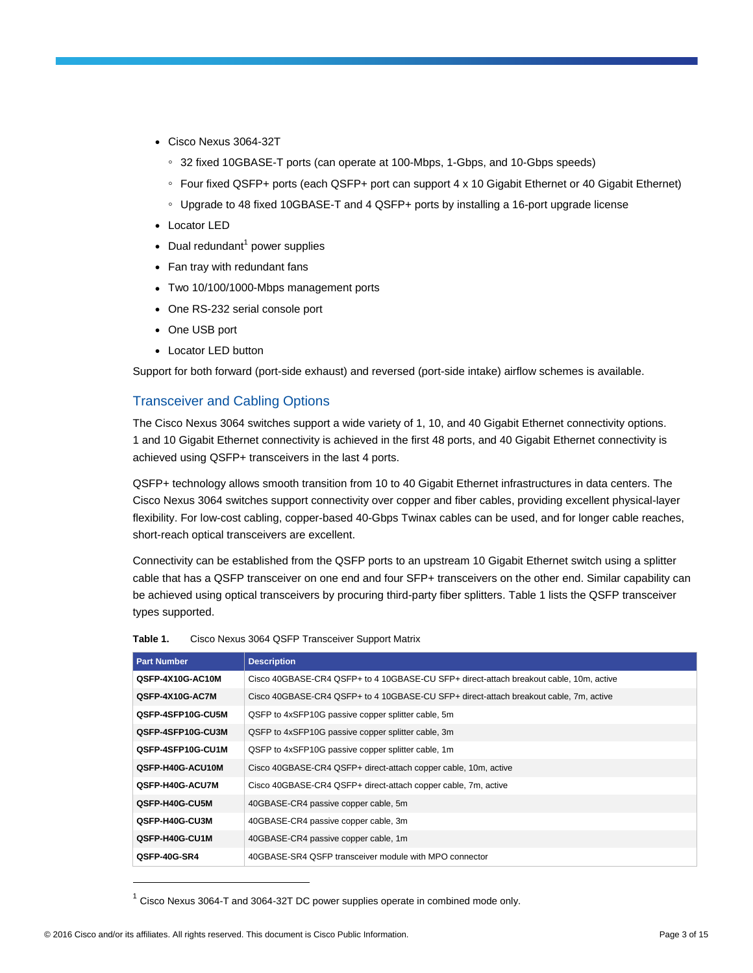- Cisco Nexus 3064-32T
	- 32 fixed 10GBASE-T ports (can operate at 100-Mbps, 1-Gbps, and 10-Gbps speeds)
	- Four fixed QSFP+ ports (each QSFP+ port can support 4 x 10 Gigabit Ethernet or 40 Gigabit Ethernet)
	- Upgrade to 48 fixed 10GBASE-T and 4 QSFP+ ports by installing a 16-port upgrade license
- Locator LED
- Dual redundant $<sup>1</sup>$  power supplies</sup>
- Fan tray with redundant fans
- Two 10/100/1000-Mbps management ports
- One RS-232 serial console port
- One USB port
- Locator LED button

Support for both forward (port-side exhaust) and reversed (port-side intake) airflow schemes is available.

## Transceiver and Cabling Options

The Cisco Nexus 3064 switches support a wide variety of 1, 10, and 40 Gigabit Ethernet connectivity options. 1 and 10 Gigabit Ethernet connectivity is achieved in the first 48 ports, and 40 Gigabit Ethernet connectivity is achieved using QSFP+ transceivers in the last 4 ports.

QSFP+ technology allows smooth transition from 10 to 40 Gigabit Ethernet infrastructures in data centers. The Cisco Nexus 3064 switches support connectivity over copper and fiber cables, providing excellent physical-layer flexibility. For low-cost cabling, copper-based 40-Gbps Twinax cables can be used, and for longer cable reaches, short-reach optical transceivers are excellent.

Connectivity can be established from the QSFP ports to an upstream 10 Gigabit Ethernet switch using a splitter cable that has a QSFP transceiver on one end and four SFP+ transceivers on the other end. Similar capability can be achieved using optical transceivers by procuring third-party fiber splitters. Table 1 lists the QSFP transceiver types supported.

| <b>Part Number</b> | <b>Description</b>                                                                     |
|--------------------|----------------------------------------------------------------------------------------|
| QSFP-4X10G-AC10M   | Cisco 40GBASE-CR4 QSFP+ to 4 10GBASE-CU SFP+ direct-attach breakout cable, 10m, active |
| QSFP-4X10G-AC7M    | Cisco 40GBASE-CR4 QSFP+ to 4 10GBASE-CU SFP+ direct-attach breakout cable, 7m, active  |
| QSFP-4SFP10G-CU5M  | QSFP to 4xSFP10G passive copper splitter cable, 5m                                     |
| QSFP-4SFP10G-CU3M  | QSFP to 4xSFP10G passive copper splitter cable, 3m                                     |
| QSFP-4SFP10G-CU1M  | QSFP to 4xSFP10G passive copper splitter cable, 1m                                     |
| QSFP-H40G-ACU10M   | Cisco 40GBASE-CR4 QSFP+ direct-attach copper cable, 10m, active                        |
| QSFP-H40G-ACU7M    | Cisco 40GBASE-CR4 QSFP+ direct-attach copper cable, 7m, active                         |
| QSFP-H40G-CU5M     | 40GBASE-CR4 passive copper cable, 5m                                                   |
| QSFP-H40G-CU3M     | 40GBASE-CR4 passive copper cable, 3m                                                   |
| QSFP-H40G-CU1M     | 40GBASE-CR4 passive copper cable, 1m                                                   |
| QSFP-40G-SR4       | 40GBASE-SR4 OSFP transceiver module with MPO connector                                 |

| Table 1. | Cisco Nexus 3064 QSFP Transceiver Support Matrix |
|----------|--------------------------------------------------|
|          |                                                  |

 $\overline{a}$ 

 $1$  Cisco Nexus 3064-T and 3064-32T DC power supplies operate in combined mode only.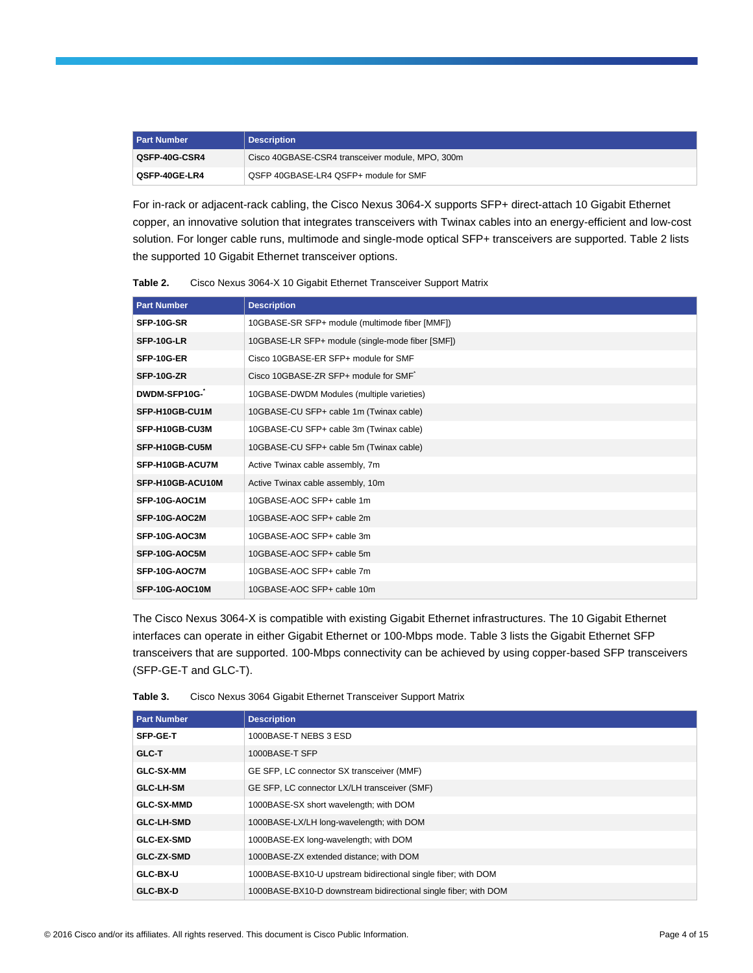| <b>Part Number</b> | <b>Description</b>                               |
|--------------------|--------------------------------------------------|
| QSFP-40G-CSR4      | Cisco 40GBASE-CSR4 transceiver module, MPO, 300m |
| QSFP-40GE-LR4      | QSFP 40GBASE-LR4 QSFP+ module for SMF            |

For in-rack or adjacent-rack cabling, the Cisco Nexus 3064-X supports SFP+ direct-attach 10 Gigabit Ethernet copper, an innovative solution that integrates transceivers with Twinax cables into an energy-efficient and low-cost solution. For longer cable runs, multimode and single-mode optical SFP+ transceivers are supported. Table 2 lists the supported 10 Gigabit Ethernet transceiver options.

**Table 2.** Cisco Nexus 3064-X 10 Gigabit Ethernet Transceiver Support Matrix

| <b>Part Number</b> | <b>Description</b>                               |
|--------------------|--------------------------------------------------|
| SFP-10G-SR         | 10GBASE-SR SFP+ module (multimode fiber [MMF])   |
| SFP-10G-LR         | 10GBASE-LR SFP+ module (single-mode fiber [SMF]) |
| SFP-10G-ER         | Cisco 10GBASE-ER SFP+ module for SMF             |
| <b>SFP-10G-ZR</b>  | Cisco 10GBASE-ZR SFP+ module for SMF             |
| DWDM-SFP10G-       | 10GBASE-DWDM Modules (multiple varieties)        |
| SFP-H10GB-CU1M     | 10GBASE-CU SFP+ cable 1m (Twinax cable)          |
| SFP-H10GB-CU3M     | 10GBASE-CU SFP+ cable 3m (Twinax cable)          |
| SFP-H10GB-CU5M     | 10GBASE-CU SFP+ cable 5m (Twinax cable)          |
| SFP-H10GB-ACU7M    | Active Twinax cable assembly, 7m                 |
| SFP-H10GB-ACU10M   | Active Twinax cable assembly, 10m                |
| SFP-10G-AOC1M      | 10GBASE-AOC SFP+ cable 1m                        |
| SFP-10G-AOC2M      | 10GBASE-AOC SFP+ cable 2m                        |
| SFP-10G-AOC3M      | 10GBASE-AOC SFP+ cable 3m                        |
| SFP-10G-AOC5M      | 10GBASE-AOC SFP+ cable 5m                        |
| SFP-10G-AOC7M      | 10GBASE-AOC SFP+ cable 7m                        |
| SFP-10G-AOC10M     | 10GBASE-AOC SFP+ cable 10m                       |

The Cisco Nexus 3064-X is compatible with existing Gigabit Ethernet infrastructures. The 10 Gigabit Ethernet interfaces can operate in either Gigabit Ethernet or 100-Mbps mode. Table 3 lists the Gigabit Ethernet SFP transceivers that are supported. 100-Mbps connectivity can be achieved by using copper-based SFP transceivers (SFP-GE-T and GLC-T).

| <b>Part Number</b> | <b>Description</b>                                              |
|--------------------|-----------------------------------------------------------------|
| <b>SFP-GE-T</b>    | 1000BASE-T NEBS 3 ESD                                           |
| GLC-T              | 1000BASE-T SFP                                                  |
| <b>GLC-SX-MM</b>   | GE SFP, LC connector SX transceiver (MMF)                       |
| <b>GLC-LH-SM</b>   | GE SFP, LC connector LX/LH transceiver (SMF)                    |
| <b>GLC-SX-MMD</b>  | 1000BASE-SX short wavelength; with DOM                          |
| <b>GLC-LH-SMD</b>  | 1000BASE-LX/LH long-wavelength; with DOM                        |
| <b>GLC-EX-SMD</b>  | 1000BASE-EX long-wavelength; with DOM                           |
| <b>GLC-ZX-SMD</b>  | 1000BASE-ZX extended distance; with DOM                         |
| GLC-BX-U           | 1000BASE-BX10-U upstream bidirectional single fiber; with DOM   |
| <b>GLC-BX-D</b>    | 1000BASE-BX10-D downstream bidirectional single fiber; with DOM |

**Table 3.** Cisco Nexus 3064 Gigabit Ethernet Transceiver Support Matrix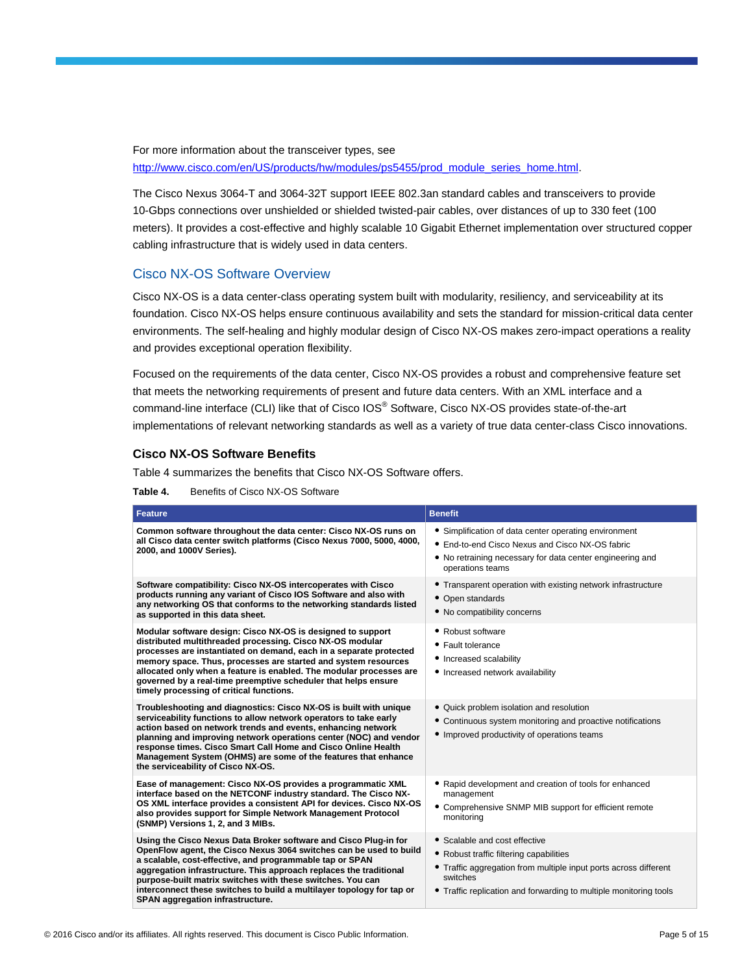For more information about the transceiver types, see [http://www.cisco.com/en/US/products/hw/modules/ps5455/prod\\_module\\_series\\_home.html.](http://www.cisco.com/en/US/products/hw/modules/ps5455/prod_module_series_home.html)

The Cisco Nexus 3064-T and 3064-32T support IEEE 802.3an standard cables and transceivers to provide 10-Gbps connections over unshielded or shielded twisted-pair cables, over distances of up to 330 feet (100 meters). It provides a cost-effective and highly scalable 10 Gigabit Ethernet implementation over structured copper cabling infrastructure that is widely used in data centers.

### Cisco NX-OS Software Overview

Cisco NX-OS is a data center-class operating system built with modularity, resiliency, and serviceability at its foundation. Cisco NX-OS helps ensure continuous availability and sets the standard for mission-critical data center environments. The self-healing and highly modular design of Cisco NX-OS makes zero-impact operations a reality and provides exceptional operation flexibility.

Focused on the requirements of the data center, Cisco NX-OS provides a robust and comprehensive feature set that meets the networking requirements of present and future data centers. With an XML interface and a command-line interface (CLI) like that of Cisco IOS® Software, Cisco NX-OS provides state-of-the-art implementations of relevant networking standards as well as a variety of true data center-class Cisco innovations.

#### **Cisco NX-OS Software Benefits**

Table 4 summarizes the benefits that Cisco NX-OS Software offers.

**Table 4.** Benefits of Cisco NX-OS Software

| <b>Feature</b>                                                                                                                                                                                                                                                                                                                                                                                                                                        | <b>Benefit</b>                                                                                                                                                                                                                |
|-------------------------------------------------------------------------------------------------------------------------------------------------------------------------------------------------------------------------------------------------------------------------------------------------------------------------------------------------------------------------------------------------------------------------------------------------------|-------------------------------------------------------------------------------------------------------------------------------------------------------------------------------------------------------------------------------|
| Common software throughout the data center: Cisco NX-OS runs on<br>all Cisco data center switch platforms (Cisco Nexus 7000, 5000, 4000,<br>2000, and 1000V Series).                                                                                                                                                                                                                                                                                  | • Simplification of data center operating environment<br>• End-to-end Cisco Nexus and Cisco NX-OS fabric<br>• No retraining necessary for data center engineering and<br>operations teams                                     |
| Software compatibility: Cisco NX-OS intercoperates with Cisco<br>products running any variant of Cisco IOS Software and also with<br>any networking OS that conforms to the networking standards listed<br>as supported in this data sheet.                                                                                                                                                                                                           | • Transparent operation with existing network infrastructure<br>• Open standards<br>• No compatibility concerns                                                                                                               |
| Modular software design: Cisco NX-OS is designed to support<br>distributed multithreaded processing. Cisco NX-OS modular<br>processes are instantiated on demand, each in a separate protected<br>memory space. Thus, processes are started and system resources<br>allocated only when a feature is enabled. The modular processes are<br>governed by a real-time preemptive scheduler that helps ensure<br>timely processing of critical functions. | • Robust software<br>• Fault tolerance<br>• Increased scalability<br>• Increased network availability                                                                                                                         |
| Troubleshooting and diagnostics: Cisco NX-OS is built with unique<br>serviceability functions to allow network operators to take early<br>action based on network trends and events, enhancing network<br>planning and improving network operations center (NOC) and vendor<br>response times. Cisco Smart Call Home and Cisco Online Health<br>Management System (OHMS) are some of the features that enhance<br>the serviceability of Cisco NX-OS.  | • Quick problem isolation and resolution<br>• Continuous system monitoring and proactive notifications<br>• Improved productivity of operations teams                                                                         |
| Ease of management: Cisco NX-OS provides a programmatic XML<br>interface based on the NETCONF industry standard. The Cisco NX-<br>OS XML interface provides a consistent API for devices. Cisco NX-OS<br>also provides support for Simple Network Management Protocol<br>(SNMP) Versions 1, 2, and 3 MIBs.                                                                                                                                            | • Rapid development and creation of tools for enhanced<br>management<br>• Comprehensive SNMP MIB support for efficient remote<br>monitoring                                                                                   |
| Using the Cisco Nexus Data Broker software and Cisco Plug-in for<br>OpenFlow agent, the Cisco Nexus 3064 switches can be used to build<br>a scalable, cost-effective, and programmable tap or SPAN<br>aggregation infrastructure. This approach replaces the traditional<br>purpose-built matrix switches with these switches. You can<br>interconnect these switches to build a multilayer topology for tap or<br>SPAN aggregation infrastructure.   | • Scalable and cost effective<br>• Robust traffic filtering capabilities<br>• Traffic aggregation from multiple input ports across different<br>switches<br>• Traffic replication and forwarding to multiple monitoring tools |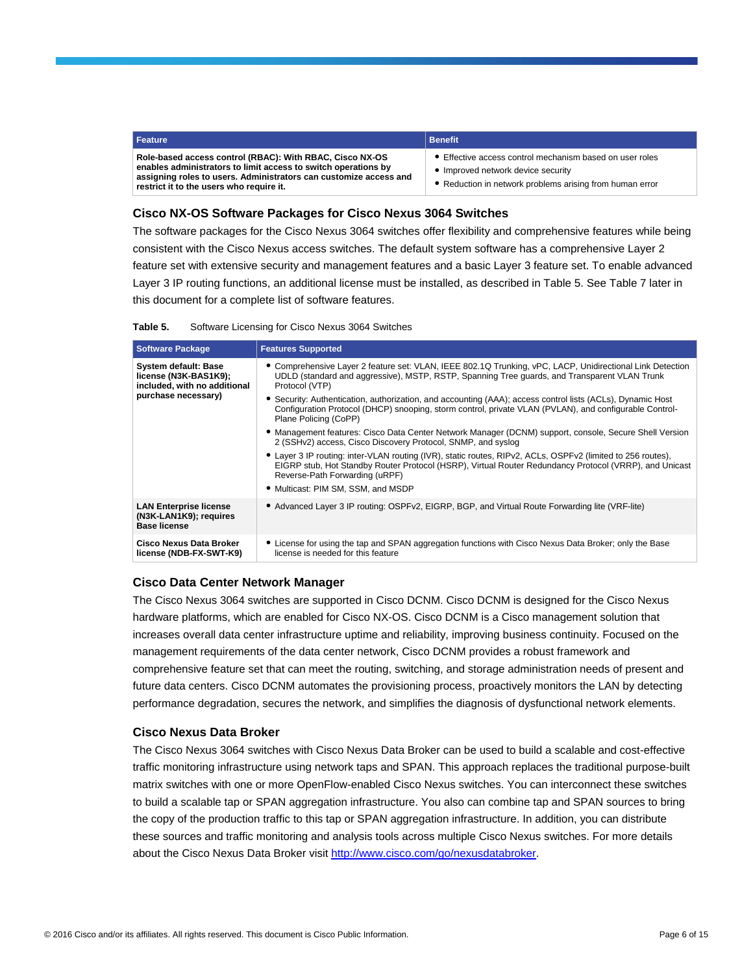| Feature                                                                                                                                                                                                                                     | <b>Benefit</b>                                                         |
|---------------------------------------------------------------------------------------------------------------------------------------------------------------------------------------------------------------------------------------------|------------------------------------------------------------------------|
| Role-based access control (RBAC): With RBAC, Cisco NX-OS<br>enables administrators to limit access to switch operations by<br>assigning roles to users. Administrators can customize access and<br>restrict it to the users who require it. | • Effective access co<br>• Improved network of<br>• Reduction in netwo |

- ntrol mechanism based on user roles
- device security
- ork problems arising from human error

#### **Cisco NX-OS Software Packages for Cisco Nexus 3064 Switches**

The software packages for the Cisco Nexus 3064 switches offer flexibility and comprehensive features while being consistent with the Cisco Nexus access switches. The default system software has a comprehensive Layer 2 feature set with extensive security and management features and a basic Layer 3 feature set. To enable advanced Layer 3 IP routing functions, an additional license must be installed, as described in Table 5. See Table 7 later in this document for a complete list of software features.

| Table 5. | Software Licensing for Cisco Nexus 3064 Switches |  |  |  |
|----------|--------------------------------------------------|--|--|--|
|----------|--------------------------------------------------|--|--|--|

| <b>Software Package</b>                                                                              | <b>Features Supported</b>                                                                                                                                                                                                                                                                                                                                                                                                                                                                                                                                                                                                                                                                                                                                                                                                                                                                                         |
|------------------------------------------------------------------------------------------------------|-------------------------------------------------------------------------------------------------------------------------------------------------------------------------------------------------------------------------------------------------------------------------------------------------------------------------------------------------------------------------------------------------------------------------------------------------------------------------------------------------------------------------------------------------------------------------------------------------------------------------------------------------------------------------------------------------------------------------------------------------------------------------------------------------------------------------------------------------------------------------------------------------------------------|
| System default: Base<br>license (N3K-BAS1K9);<br>included, with no additional<br>purchase necessary) | • Comprehensive Layer 2 feature set: VLAN, IEEE 802.1Q Trunking, vPC, LACP, Unidirectional Link Detection<br>UDLD (standard and aggressive), MSTP, RSTP, Spanning Tree guards, and Transparent VLAN Trunk<br>Protocol (VTP)<br>• Security: Authentication, authorization, and accounting (AAA); access control lists (ACLs), Dynamic Host<br>Configuration Protocol (DHCP) snooping, storm control, private VLAN (PVLAN), and configurable Control-<br>Plane Policing (CoPP)<br>• Management features: Cisco Data Center Network Manager (DCNM) support, console, Secure Shell Version<br>2 (SSHv2) access, Cisco Discovery Protocol, SNMP, and syslog<br>• Layer 3 IP routing: inter-VLAN routing (IVR), static routes, RIPv2, ACLs, OSPFv2 (limited to 256 routes),<br>EIGRP stub, Hot Standby Router Protocol (HSRP), Virtual Router Redundancy Protocol (VRRP), and Unicast<br>Reverse-Path Forwarding (uRPF) |
|                                                                                                      | • Multicast: PIM SM, SSM, and MSDP                                                                                                                                                                                                                                                                                                                                                                                                                                                                                                                                                                                                                                                                                                                                                                                                                                                                                |
| <b>LAN Enterprise license</b><br>(N3K-LAN1K9); requires<br><b>Base license</b>                       | • Advanced Layer 3 IP routing: OSPFv2, EIGRP, BGP, and Virtual Route Forwarding lite (VRF-lite)                                                                                                                                                                                                                                                                                                                                                                                                                                                                                                                                                                                                                                                                                                                                                                                                                   |
| Cisco Nexus Data Broker<br>license (NDB-FX-SWT-K9)                                                   | • License for using the tap and SPAN aggregation functions with Cisco Nexus Data Broker; only the Base<br>license is needed for this feature                                                                                                                                                                                                                                                                                                                                                                                                                                                                                                                                                                                                                                                                                                                                                                      |

#### **Cisco Data Center Network Manager**

The Cisco Nexus 3064 switches are supported in Cisco DCNM. Cisco DCNM is designed for the Cisco Nexus hardware platforms, which are enabled for Cisco NX-OS. Cisco DCNM is a Cisco management solution that increases overall data center infrastructure uptime and reliability, improving business continuity. Focused on the management requirements of the data center network, Cisco DCNM provides a robust framework and comprehensive feature set that can meet the routing, switching, and storage administration needs of present and future data centers. Cisco DCNM automates the provisioning process, proactively monitors the LAN by detecting performance degradation, secures the network, and simplifies the diagnosis of dysfunctional network elements.

#### **Cisco Nexus Data Broker**

The Cisco Nexus 3064 switches with Cisco Nexus Data Broker can be used to build a scalable and cost-effective traffic monitoring infrastructure using network taps and SPAN. This approach replaces the traditional purpose-built matrix switches with one or more OpenFlow-enabled Cisco Nexus switches. You can interconnect these switches to build a scalable tap or SPAN aggregation infrastructure. You also can combine tap and SPAN sources to bring the copy of the production traffic to this tap or SPAN aggregation infrastructure. In addition, you can distribute these sources and traffic monitoring and analysis tools across multiple Cisco Nexus switches. For more details about the Cisco Nexus Data Broker visi[t http://www.cisco.com/go/nexusdatabroker.](http://www.cisco.com/go/nexusdatabroker)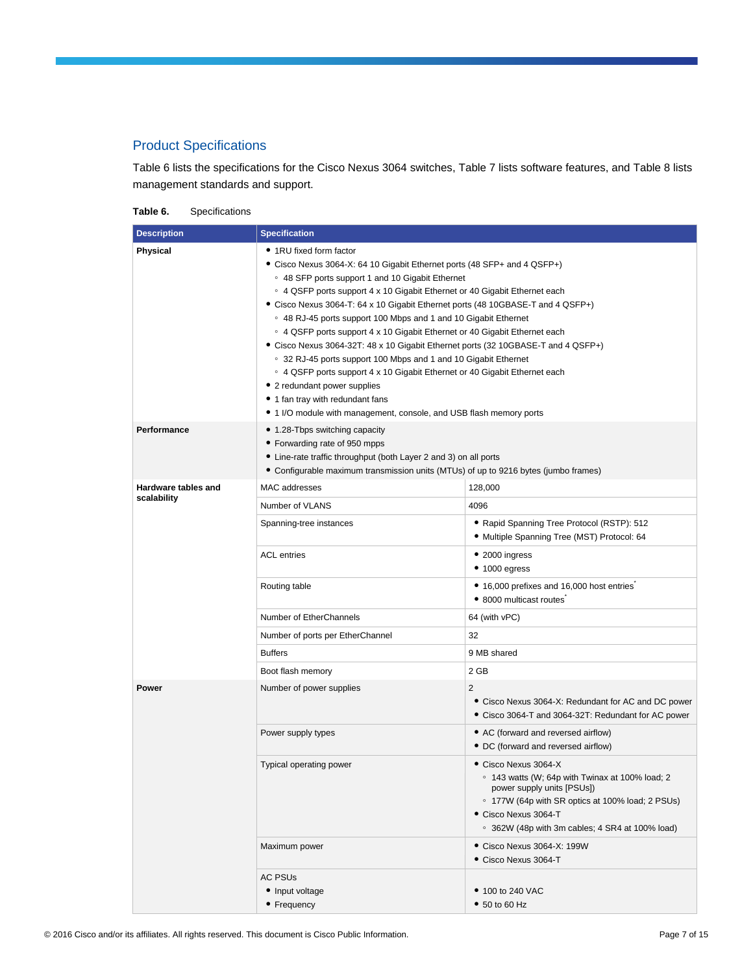# Product Specifications

Table 6 lists the specifications for the Cisco Nexus 3064 switches, Table 7 lists software features, and Table 8 lists management standards and support.

**Table 6.** Specifications

| <b>Description</b>             | <b>Specification</b>                                                                                                                                                                                                                                                                                                                                                                                                                                                                                                                                                                                                                                                                                                                                                                                                                                       |                                                                                                                                                                                                                                      |  |
|--------------------------------|------------------------------------------------------------------------------------------------------------------------------------------------------------------------------------------------------------------------------------------------------------------------------------------------------------------------------------------------------------------------------------------------------------------------------------------------------------------------------------------------------------------------------------------------------------------------------------------------------------------------------------------------------------------------------------------------------------------------------------------------------------------------------------------------------------------------------------------------------------|--------------------------------------------------------------------------------------------------------------------------------------------------------------------------------------------------------------------------------------|--|
| <b>Physical</b><br>Performance | • 1RU fixed form factor<br>• Cisco Nexus 3064-X: 64 10 Gigabit Ethernet ports (48 SFP+ and 4 QSFP+)<br>○ 48 SFP ports support 1 and 10 Gigabit Ethernet<br>○ 4 QSFP ports support 4 x 10 Gigabit Ethernet or 40 Gigabit Ethernet each<br>• Cisco Nexus 3064-T: 64 x 10 Gigabit Ethernet ports (48 10GBASE-T and 4 QSFP+)<br>○ 48 RJ-45 ports support 100 Mbps and 1 and 10 Gigabit Ethernet<br>○ 4 QSFP ports support 4 x 10 Gigabit Ethernet or 40 Gigabit Ethernet each<br>• Cisco Nexus 3064-32T: 48 x 10 Gigabit Ethernet ports (32 10GBASE-T and 4 QSFP+)<br>○ 32 RJ-45 ports support 100 Mbps and 1 and 10 Gigabit Ethernet<br>○ 4 QSFP ports support 4 x 10 Gigabit Ethernet or 40 Gigabit Ethernet each<br>• 2 redundant power supplies<br>• 1 fan tray with redundant fans<br>• 1 I/O module with management, console, and USB flash memory ports |                                                                                                                                                                                                                                      |  |
|                                | • 1.28-Tbps switching capacity<br>• Forwarding rate of 950 mpps<br>• Line-rate traffic throughput (both Layer 2 and 3) on all ports<br>• Configurable maximum transmission units (MTUs) of up to 9216 bytes (jumbo frames)                                                                                                                                                                                                                                                                                                                                                                                                                                                                                                                                                                                                                                 |                                                                                                                                                                                                                                      |  |
| Hardware tables and            | MAC addresses                                                                                                                                                                                                                                                                                                                                                                                                                                                                                                                                                                                                                                                                                                                                                                                                                                              | 128,000                                                                                                                                                                                                                              |  |
| scalability                    | Number of VLANS                                                                                                                                                                                                                                                                                                                                                                                                                                                                                                                                                                                                                                                                                                                                                                                                                                            | 4096                                                                                                                                                                                                                                 |  |
|                                | Spanning-tree instances                                                                                                                                                                                                                                                                                                                                                                                                                                                                                                                                                                                                                                                                                                                                                                                                                                    | • Rapid Spanning Tree Protocol (RSTP): 512<br>• Multiple Spanning Tree (MST) Protocol: 64                                                                                                                                            |  |
|                                | <b>ACL</b> entries                                                                                                                                                                                                                                                                                                                                                                                                                                                                                                                                                                                                                                                                                                                                                                                                                                         | $\bullet$ 2000 ingress<br>• 1000 eqress                                                                                                                                                                                              |  |
|                                | Routing table                                                                                                                                                                                                                                                                                                                                                                                                                                                                                                                                                                                                                                                                                                                                                                                                                                              | • 16,000 prefixes and 16,000 host entries<br>• 8000 multicast routes                                                                                                                                                                 |  |
|                                | Number of EtherChannels                                                                                                                                                                                                                                                                                                                                                                                                                                                                                                                                                                                                                                                                                                                                                                                                                                    | 64 (with vPC)                                                                                                                                                                                                                        |  |
|                                | Number of ports per EtherChannel                                                                                                                                                                                                                                                                                                                                                                                                                                                                                                                                                                                                                                                                                                                                                                                                                           | 32                                                                                                                                                                                                                                   |  |
|                                | <b>Buffers</b>                                                                                                                                                                                                                                                                                                                                                                                                                                                                                                                                                                                                                                                                                                                                                                                                                                             | 9 MB shared                                                                                                                                                                                                                          |  |
|                                | Boot flash memory                                                                                                                                                                                                                                                                                                                                                                                                                                                                                                                                                                                                                                                                                                                                                                                                                                          | 2 GB                                                                                                                                                                                                                                 |  |
| Power                          | Number of power supplies                                                                                                                                                                                                                                                                                                                                                                                                                                                                                                                                                                                                                                                                                                                                                                                                                                   | 2<br>• Cisco Nexus 3064-X: Redundant for AC and DC power<br>• Cisco 3064-T and 3064-32T: Redundant for AC power                                                                                                                      |  |
|                                | Power supply types                                                                                                                                                                                                                                                                                                                                                                                                                                                                                                                                                                                                                                                                                                                                                                                                                                         | • AC (forward and reversed airflow)<br>• DC (forward and reversed airflow)                                                                                                                                                           |  |
|                                | Typical operating power                                                                                                                                                                                                                                                                                                                                                                                                                                                                                                                                                                                                                                                                                                                                                                                                                                    | • Cisco Nexus 3064-X<br>○ 143 watts (W; 64p with Twinax at 100% load; 2<br>power supply units [PSUs])<br>○ 177W (64p with SR optics at 100% load; 2 PSUs)<br>• Cisco Nexus 3064-T<br>○ 362W (48p with 3m cables; 4 SR4 at 100% load) |  |
|                                | Maximum power                                                                                                                                                                                                                                                                                                                                                                                                                                                                                                                                                                                                                                                                                                                                                                                                                                              | • Cisco Nexus 3064-X: 199W<br>• Cisco Nexus 3064-T                                                                                                                                                                                   |  |
|                                | <b>AC PSUs</b><br>• Input voltage<br>• Frequency                                                                                                                                                                                                                                                                                                                                                                                                                                                                                                                                                                                                                                                                                                                                                                                                           | • 100 to 240 VAC<br>$\bullet$ 50 to 60 Hz                                                                                                                                                                                            |  |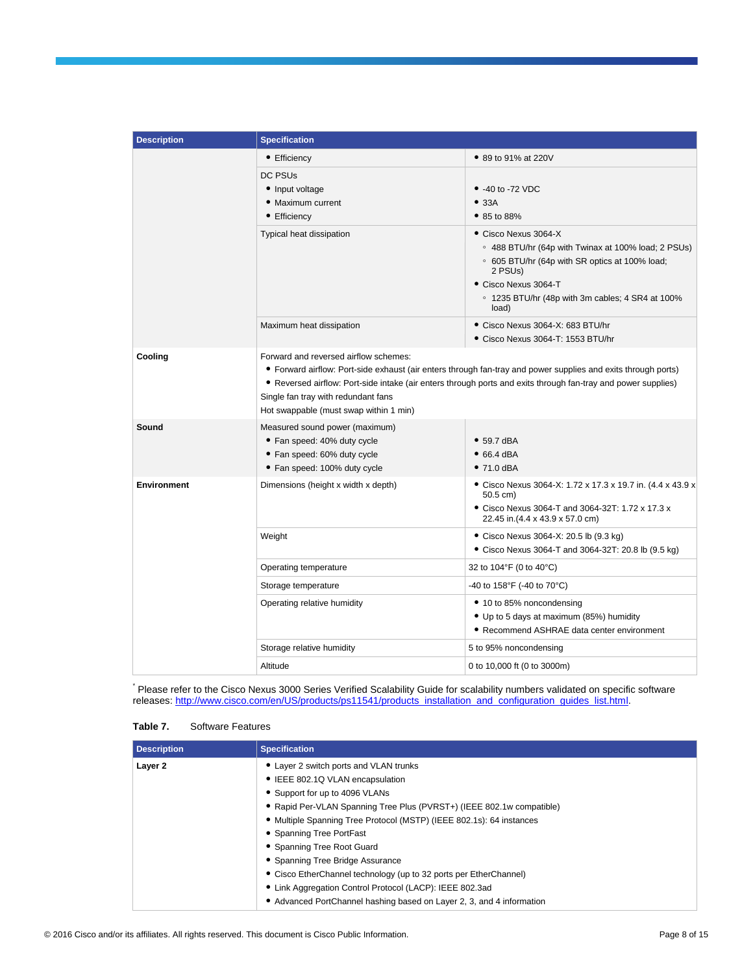| <b>Description</b> | <b>Specification</b>                                                                                                         |                                                                                                                                                                                                                                          |  |  |  |
|--------------------|------------------------------------------------------------------------------------------------------------------------------|------------------------------------------------------------------------------------------------------------------------------------------------------------------------------------------------------------------------------------------|--|--|--|
|                    | • Efficiency                                                                                                                 | • 89 to 91% at 220V                                                                                                                                                                                                                      |  |  |  |
|                    | <b>DC PSUs</b><br>• Input voltage<br>• Maximum current<br>• Efficiency                                                       | $\bullet$ -40 to -72 VDC<br>• 33A<br>• 85 to 88%                                                                                                                                                                                         |  |  |  |
|                    | Typical heat dissipation                                                                                                     | • Cisco Nexus 3064-X<br>○ 488 BTU/hr (64p with Twinax at 100% load; 2 PSUs)<br>○ 605 BTU/hr (64p with SR optics at 100% load;<br>2 PSU <sub>s</sub> )<br>Cisco Nexus 3064-T<br>○ 1235 BTU/hr (48p with 3m cables; 4 SR4 at 100%<br>load) |  |  |  |
|                    | Maximum heat dissipation                                                                                                     | Cisco Nexus 3064-X: 683 BTU/hr<br>Cisco Nexus 3064-T: 1553 BTU/hr                                                                                                                                                                        |  |  |  |
| Cooling            | Forward and reversed airflow schemes:<br>Single fan tray with redundant fans<br>Hot swappable (must swap within 1 min)       | • Forward airflow: Port-side exhaust (air enters through fan-tray and power supplies and exits through ports)<br>• Reversed airflow: Port-side intake (air enters through ports and exits through fan-tray and power supplies)           |  |  |  |
| Sound              | Measured sound power (maximum)<br>• Fan speed: 40% duty cycle<br>• Fan speed: 60% duty cycle<br>• Fan speed: 100% duty cycle | $\bullet$ 59.7 dBA<br>$\bullet$ 66.4 dBA<br>$•71.0$ dBA                                                                                                                                                                                  |  |  |  |
| <b>Environment</b> | Dimensions (height x width x depth)                                                                                          | • Cisco Nexus 3064-X: 1.72 x 17.3 x 19.7 in. (4.4 x 43.9 x<br>$50.5$ cm)<br>• Cisco Nexus 3064-T and 3064-32T: 1.72 x 17.3 x<br>22.45 in.(4.4 x 43.9 x 57.0 cm)                                                                          |  |  |  |
|                    | Weight                                                                                                                       | · Cisco Nexus 3064-X: 20.5 lb (9.3 kg)<br>• Cisco Nexus 3064-T and 3064-32T: 20.8 lb (9.5 kg)                                                                                                                                            |  |  |  |
|                    | Operating temperature                                                                                                        | 32 to 104°F (0 to 40°C)                                                                                                                                                                                                                  |  |  |  |
|                    | Storage temperature                                                                                                          | -40 to 158°F (-40 to 70°C)                                                                                                                                                                                                               |  |  |  |
|                    | Operating relative humidity                                                                                                  | • 10 to 85% noncondensing<br>• Up to 5 days at maximum (85%) humidity<br>• Recommend ASHRAE data center environment                                                                                                                      |  |  |  |
|                    | Storage relative humidity                                                                                                    | 5 to 95% noncondensing                                                                                                                                                                                                                   |  |  |  |
|                    | Altitude                                                                                                                     | 0 to 10,000 ft (0 to 3000m)                                                                                                                                                                                                              |  |  |  |

\* Please refer to the Cisco Nexus 3000 Series Verified Scalability Guide for scalability numbers validated on specific software releases[: http://www.cisco.com/en/US/products/ps11541/products\\_installation\\_and\\_configuration\\_guides\\_list.html.](http://www.cisco.com/en/US/products/ps11541/products_installation_and_configuration_guides_list.html)

|  | Table 7. | <b>Software Features</b> |
|--|----------|--------------------------|
|--|----------|--------------------------|

| <b>Description</b> | <b>Specification</b>                                                  |
|--------------------|-----------------------------------------------------------------------|
| Layer 2            | • Layer 2 switch ports and VLAN trunks                                |
|                    | • IEEE 802.1Q VLAN encapsulation                                      |
|                    | • Support for up to 4096 VLANs                                        |
|                    | • Rapid Per-VLAN Spanning Tree Plus (PVRST+) (IEEE 802.1w compatible) |
|                    | • Multiple Spanning Tree Protocol (MSTP) (IEEE 802.1s): 64 instances  |
|                    | • Spanning Tree PortFast                                              |
|                    | • Spanning Tree Root Guard                                            |
|                    | • Spanning Tree Bridge Assurance                                      |
|                    | • Cisco EtherChannel technology (up to 32 ports per EtherChannel)     |
|                    | • Link Aggregation Control Protocol (LACP): IEEE 802.3ad              |
|                    | • Advanced PortChannel hashing based on Layer 2, 3, and 4 information |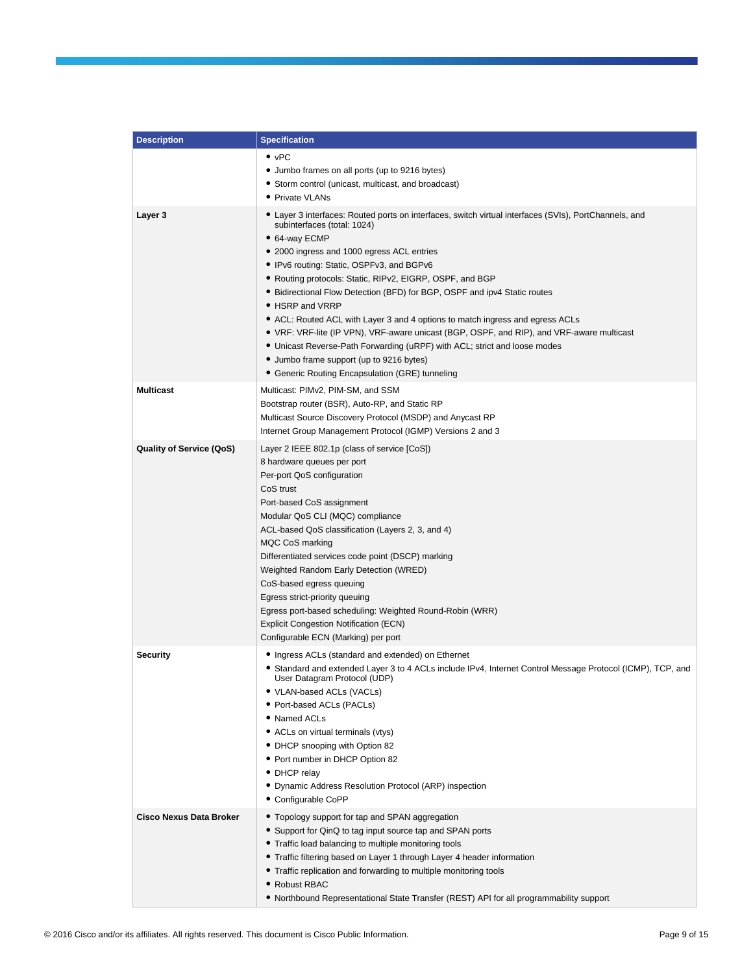| <b>Description</b>              | <b>Specification</b>                                                                                                                                  |
|---------------------------------|-------------------------------------------------------------------------------------------------------------------------------------------------------|
|                                 | $\bullet$ vPC                                                                                                                                         |
|                                 | • Jumbo frames on all ports (up to 9216 bytes)                                                                                                        |
|                                 | • Storm control (unicast, multicast, and broadcast)                                                                                                   |
|                                 | • Private VLANs                                                                                                                                       |
| Layer 3                         | • Layer 3 interfaces: Routed ports on interfaces, switch virtual interfaces (SVIs), PortChannels, and<br>subinterfaces (total: 1024)<br>• 64-way ECMP |
|                                 | • 2000 ingress and 1000 egress ACL entries                                                                                                            |
|                                 | • IPv6 routing: Static, OSPFv3, and BGPv6                                                                                                             |
|                                 | • Routing protocols: Static, RIPv2, EIGRP, OSPF, and BGP                                                                                              |
|                                 | • Bidirectional Flow Detection (BFD) for BGP, OSPF and ipv4 Static routes                                                                             |
|                                 | • HSRP and VRRP                                                                                                                                       |
|                                 | • ACL: Routed ACL with Layer 3 and 4 options to match ingress and egress ACLs                                                                         |
|                                 | • VRF: VRF-lite (IP VPN), VRF-aware unicast (BGP, OSPF, and RIP), and VRF-aware multicast                                                             |
|                                 | • Unicast Reverse-Path Forwarding (uRPF) with ACL; strict and loose modes                                                                             |
|                                 | • Jumbo frame support (up to 9216 bytes)                                                                                                              |
|                                 | • Generic Routing Encapsulation (GRE) tunneling                                                                                                       |
| <b>Multicast</b>                | Multicast: PIMv2, PIM-SM, and SSM                                                                                                                     |
|                                 | Bootstrap router (BSR), Auto-RP, and Static RP                                                                                                        |
|                                 | Multicast Source Discovery Protocol (MSDP) and Anycast RP                                                                                             |
|                                 | Internet Group Management Protocol (IGMP) Versions 2 and 3                                                                                            |
| <b>Quality of Service (QoS)</b> | Layer 2 IEEE 802.1p (class of service [CoS])                                                                                                          |
|                                 | 8 hardware queues per port                                                                                                                            |
|                                 | Per-port QoS configuration                                                                                                                            |
|                                 | CoS trust                                                                                                                                             |
|                                 | Port-based CoS assignment                                                                                                                             |
|                                 | Modular QoS CLI (MQC) compliance                                                                                                                      |
|                                 | ACL-based QoS classification (Layers 2, 3, and 4)                                                                                                     |
|                                 | MQC CoS marking                                                                                                                                       |
|                                 | Differentiated services code point (DSCP) marking<br>Weighted Random Early Detection (WRED)                                                           |
|                                 | CoS-based egress queuing                                                                                                                              |
|                                 | Egress strict-priority queuing                                                                                                                        |
|                                 | Egress port-based scheduling: Weighted Round-Robin (WRR)                                                                                              |
|                                 | <b>Explicit Congestion Notification (ECN)</b>                                                                                                         |
|                                 | Configurable ECN (Marking) per port                                                                                                                   |
| <b>Security</b>                 | • Ingress ACLs (standard and extended) on Ethernet                                                                                                    |
|                                 | • Standard and extended Layer 3 to 4 ACLs include IPv4, Internet Control Message Protocol (ICMP), TCP, and<br>User Datagram Protocol (UDP)            |
|                                 | • VLAN-based ACLs (VACLs)                                                                                                                             |
|                                 | • Port-based ACLs (PACLs)                                                                                                                             |
|                                 | • Named ACLs                                                                                                                                          |
|                                 | • ACLs on virtual terminals (vtys)                                                                                                                    |
|                                 | • DHCP snooping with Option 82<br>• Port number in DHCP Option 82                                                                                     |
|                                 | • DHCP relay                                                                                                                                          |
|                                 | • Dynamic Address Resolution Protocol (ARP) inspection                                                                                                |
|                                 | • Configurable CoPP                                                                                                                                   |
| <b>Cisco Nexus Data Broker</b>  | • Topology support for tap and SPAN aggregation                                                                                                       |
|                                 | • Support for QinQ to tag input source tap and SPAN ports                                                                                             |
|                                 | • Traffic load balancing to multiple monitoring tools                                                                                                 |
|                                 | • Traffic filtering based on Layer 1 through Layer 4 header information                                                                               |
|                                 | • Traffic replication and forwarding to multiple monitoring tools                                                                                     |
|                                 | • Robust RBAC                                                                                                                                         |
|                                 | • Northbound Representational State Transfer (REST) API for all programmability support                                                               |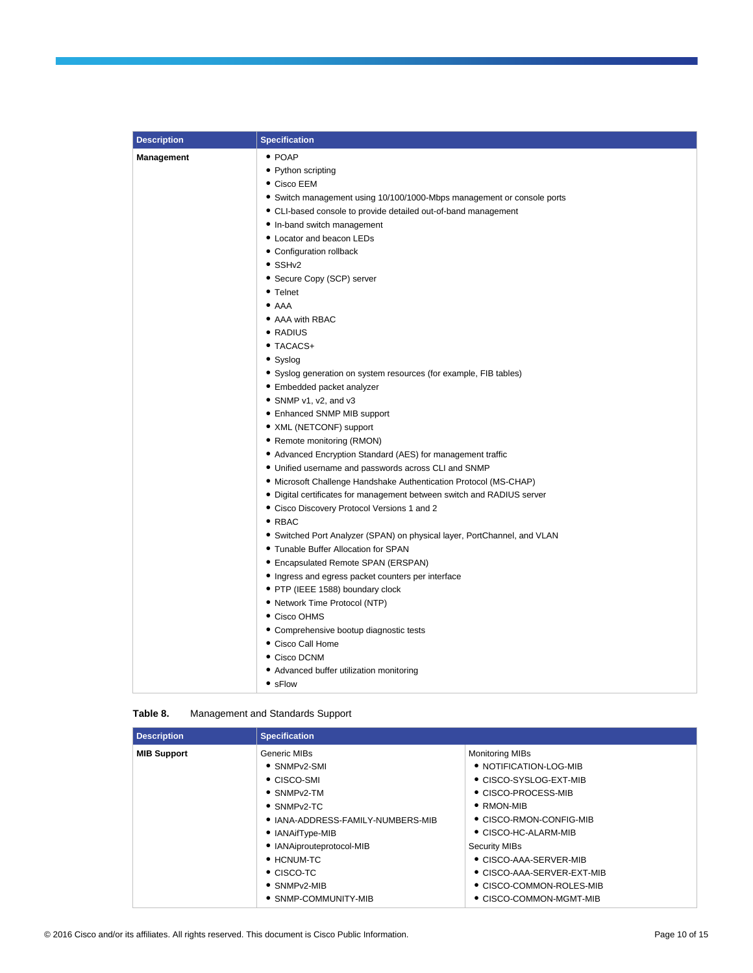| <b>Description</b> | <b>Specification</b>                                                     |
|--------------------|--------------------------------------------------------------------------|
| Management         | $\bullet$ POAP                                                           |
|                    | • Python scripting                                                       |
|                    | • Cisco EEM                                                              |
|                    | • Switch management using 10/100/1000-Mbps management or console ports   |
|                    | • CLI-based console to provide detailed out-of-band management           |
|                    | • In-band switch management                                              |
|                    | • Locator and beacon LEDs                                                |
|                    | • Configuration rollback                                                 |
|                    | $\bullet$ SSHv2                                                          |
|                    | • Secure Copy (SCP) server                                               |
|                    | • Telnet                                                                 |
|                    | $\bullet$ AAA                                                            |
|                    | • AAA with RBAC                                                          |
|                    | • RADIUS                                                                 |
|                    | • TACACS+                                                                |
|                    | • Syslog                                                                 |
|                    | • Syslog generation on system resources (for example, FIB tables)        |
|                    | • Embedded packet analyzer                                               |
|                    | • SNMP v1, v2, and v3                                                    |
|                    | • Enhanced SNMP MIB support                                              |
|                    | • XML (NETCONF) support                                                  |
|                    | • Remote monitoring (RMON)                                               |
|                    | • Advanced Encryption Standard (AES) for management traffic              |
|                    | • Unified username and passwords across CLI and SNMP                     |
|                    | • Microsoft Challenge Handshake Authentication Protocol (MS-CHAP)        |
|                    | • Digital certificates for management between switch and RADIUS server   |
|                    | • Cisco Discovery Protocol Versions 1 and 2                              |
|                    | $\bullet$ RBAC                                                           |
|                    | • Switched Port Analyzer (SPAN) on physical layer, PortChannel, and VLAN |
|                    | • Tunable Buffer Allocation for SPAN                                     |
|                    | • Encapsulated Remote SPAN (ERSPAN)                                      |
|                    | • Ingress and egress packet counters per interface                       |
|                    | • PTP (IEEE 1588) boundary clock                                         |
|                    | • Network Time Protocol (NTP)                                            |
|                    | • Cisco OHMS                                                             |
|                    | • Comprehensive bootup diagnostic tests                                  |
|                    | • Cisco Call Home                                                        |
|                    | • Cisco DCNM                                                             |
|                    | • Advanced buffer utilization monitoring                                 |
|                    | • sFlow                                                                  |

| Table 8. | <b>Management and Standards Support</b> |  |
|----------|-----------------------------------------|--|
|----------|-----------------------------------------|--|

| <b>Description</b> | <b>Specification</b>              |                            |
|--------------------|-----------------------------------|----------------------------|
| <b>MIB Support</b> | Generic MIBs                      | <b>Monitoring MIBs</b>     |
|                    | • SNMPv2-SMI                      | • NOTIFICATION-LOG-MIB     |
|                    | $\bullet$ CISCO-SMI               | • CISCO-SYSLOG-EXT-MIB     |
|                    | $\bullet$ SNMP <sub>v2</sub> -TM  | • CISCO-PROCESS-MIB        |
|                    | $\bullet$ SNMP <sub>v2</sub> -TC  | $\bullet$ RMON-MIB         |
|                    | • IANA-ADDRESS-FAMILY-NUMBERS-MIB | • CISCO-RMON-CONFIG-MIB    |
|                    | • IANAifType-MIB                  | • CISCO-HC-ALARM-MIB       |
|                    | • IANAiprouteprotocol-MIB         | <b>Security MIBs</b>       |
|                    | $\bullet$ HCNUM-TC                | • CISCO-AAA-SERVER-MIB     |
|                    | $\bullet$ CISCO-TC                | • CISCO-AAA-SERVER-EXT-MIB |
|                    | $\bullet$ SNMP <sub>v2</sub> -MIB | • CISCO-COMMON-ROLES-MIB   |
|                    | • SNMP-COMMUNITY-MIB              | • CISCO-COMMON-MGMT-MIB    |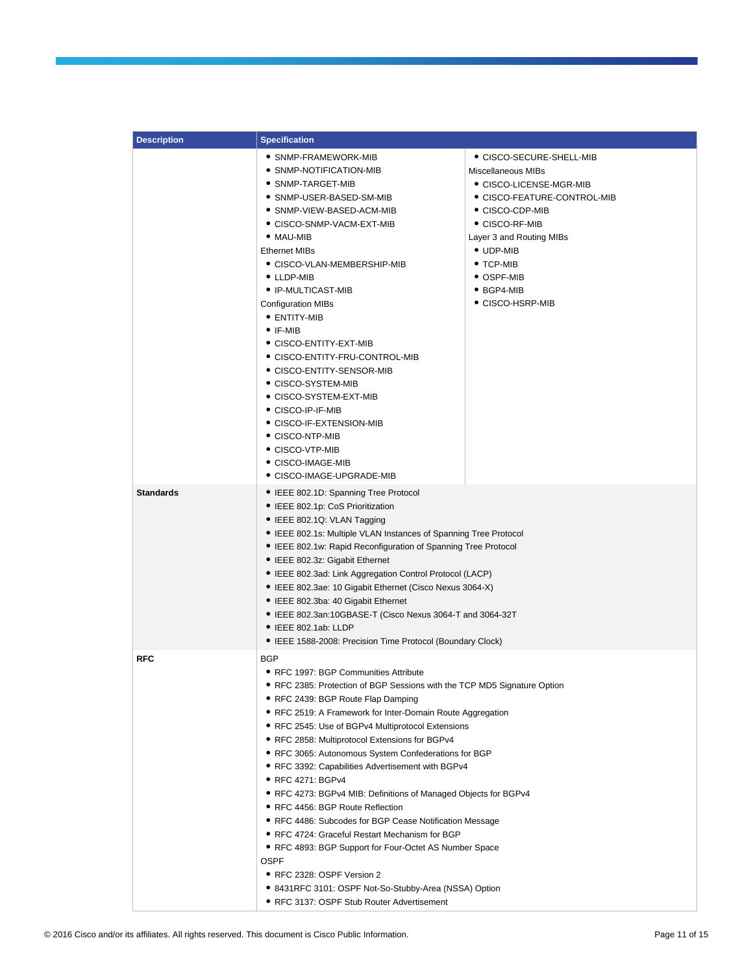| <b>Description</b> | <b>Specification</b>                                                                                                                                                                                                                                                                                                                                                                                                                                                                                                                                                                                                                                                                                                                                                                                                                                                                                           |                                                                                                                                                                           |
|--------------------|----------------------------------------------------------------------------------------------------------------------------------------------------------------------------------------------------------------------------------------------------------------------------------------------------------------------------------------------------------------------------------------------------------------------------------------------------------------------------------------------------------------------------------------------------------------------------------------------------------------------------------------------------------------------------------------------------------------------------------------------------------------------------------------------------------------------------------------------------------------------------------------------------------------|---------------------------------------------------------------------------------------------------------------------------------------------------------------------------|
|                    | • SNMP-FRAMEWORK-MIB<br>• SNMP-NOTIFICATION-MIB<br>· SNMP-TARGET-MIB<br>● SNMP-USER-BASED-SM-MIB<br>• SNMP-VIEW-BASED-ACM-MIB<br>● CISCO-SNMP-VACM-EXT-MIB<br>$\bullet$ MAU-MIB                                                                                                                                                                                                                                                                                                                                                                                                                                                                                                                                                                                                                                                                                                                                | • CISCO-SECURE-SHELL-MIB<br>Miscellaneous MIBs<br>● CISCO-LICENSE-MGR-MIB<br>• CISCO-FEATURE-CONTROL-MIB<br>• CISCO-CDP-MIB<br>• CISCO-RF-MIB<br>Layer 3 and Routing MIBs |
|                    | <b>Ethernet MIBs</b><br>• CISCO-VLAN-MEMBERSHIP-MIB<br>• LLDP-MIB<br>• IP-MULTICAST-MIB<br><b>Configuration MIBs</b><br>• ENTITY-MIB<br>$\bullet$ IF-MIB<br>• CISCO-ENTITY-EXT-MIB<br>● CISCO-ENTITY-FRU-CONTROL-MIB<br>● CISCO-ENTITY-SENSOR-MIB<br>● CISCO-SYSTEM-MIB<br>● CISCO-SYSTEM-EXT-MIB<br>• CISCO-IP-IF-MIB<br>● CISCO-IF-EXTENSION-MIB<br>• CISCO-NTP-MIB<br>• CISCO-VTP-MIB<br>• CISCO-IMAGE-MIB<br>• CISCO-IMAGE-UPGRADE-MIB                                                                                                                                                                                                                                                                                                                                                                                                                                                                     | $\bullet$ UDP-MIB<br>$\bullet$ TCP-MIB<br>• OSPF-MIB<br>$\bullet$ BGP4-MIB<br>• CISCO-HSRP-MIB                                                                            |
| <b>Standards</b>   | • IEEE 802.1D: Spanning Tree Protocol<br>• IEEE 802.1p: CoS Prioritization<br>• IEEE 802.1Q: VLAN Tagging<br>• IEEE 802.1s: Multiple VLAN Instances of Spanning Tree Protocol<br>• IEEE 802.1w: Rapid Reconfiguration of Spanning Tree Protocol<br>• IEEE 802.3z: Gigabit Ethernet<br>• IEEE 802.3ad: Link Aggregation Control Protocol (LACP)<br>• IEEE 802.3ae: 10 Gigabit Ethernet (Cisco Nexus 3064-X)<br>• IEEE 802.3ba: 40 Gigabit Ethernet<br>● IEEE 802.3an:10GBASE-T (Cisco Nexus 3064-T and 3064-32T<br>• IEEE 802.1ab: LLDP<br>• IEEE 1588-2008: Precision Time Protocol (Boundary Clock)                                                                                                                                                                                                                                                                                                           |                                                                                                                                                                           |
| <b>RFC</b>         | <b>BGP</b><br>• RFC 1997: BGP Communities Attribute<br>● RFC 2385: Protection of BGP Sessions with the TCP MD5 Signature Option<br>• RFC 2439: BGP Route Flap Damping<br>• RFC 2519: A Framework for Inter-Domain Route Aggregation<br>● RFC 2545: Use of BGPv4 Multiprotocol Extensions<br>● RFC 2858: Multiprotocol Extensions for BGPv4<br>• RFC 3065: Autonomous System Confederations for BGP<br>• RFC 3392: Capabilities Advertisement with BGPv4<br>• RFC 4271: BGPv4<br>● RFC 4273: BGPv4 MIB: Definitions of Managed Objects for BGPv4<br>• RFC 4456: BGP Route Reflection<br>• RFC 4486: Subcodes for BGP Cease Notification Message<br>• RFC 4724: Graceful Restart Mechanism for BGP<br>• RFC 4893: BGP Support for Four-Octet AS Number Space<br><b>OSPF</b><br>• RFC 2328: OSPF Version 2<br>• 8431RFC 3101: OSPF Not-So-Stubby-Area (NSSA) Option<br>• RFC 3137: OSPF Stub Router Advertisement |                                                                                                                                                                           |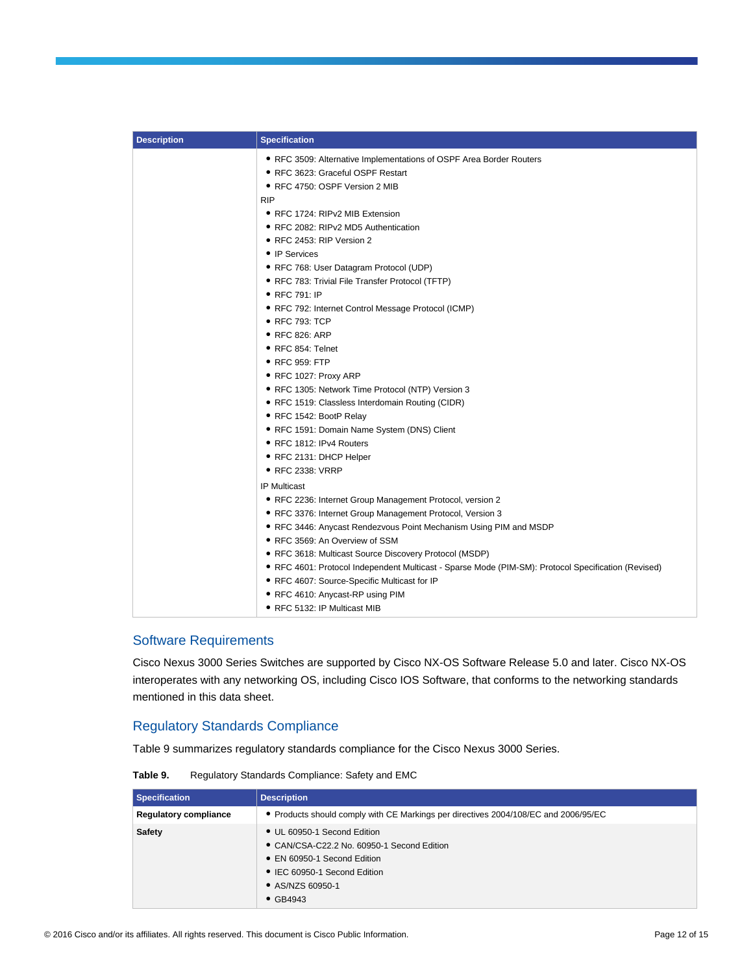| <b>Description</b> | <b>Specification</b>                                                                                |
|--------------------|-----------------------------------------------------------------------------------------------------|
|                    | • RFC 3509: Alternative Implementations of OSPF Area Border Routers                                 |
|                    | • RFC 3623: Graceful OSPF Restart                                                                   |
|                    | • RFC 4750: OSPF Version 2 MIB                                                                      |
|                    | <b>RIP</b>                                                                                          |
|                    | • RFC 1724: RIPv2 MIB Extension                                                                     |
|                    | • RFC 2082: RIPv2 MD5 Authentication                                                                |
|                    | • RFC 2453: RIP Version 2                                                                           |
|                    | • IP Services                                                                                       |
|                    | • RFC 768: User Datagram Protocol (UDP)                                                             |
|                    | • RFC 783: Trivial File Transfer Protocol (TFTP)                                                    |
|                    | • RFC 791: IP                                                                                       |
|                    | • RFC 792: Internet Control Message Protocol (ICMP)                                                 |
|                    | $\bullet$ RFC 793: TCP                                                                              |
|                    | ● RFC 826: ARP                                                                                      |
|                    | ● RFC 854: Telnet                                                                                   |
|                    | ● RFC 959: FTP                                                                                      |
|                    | ● RFC 1027: Proxy ARP                                                                               |
|                    | · RFC 1305: Network Time Protocol (NTP) Version 3                                                   |
|                    | • RFC 1519: Classless Interdomain Routing (CIDR)                                                    |
|                    | • RFC 1542: BootP Relay                                                                             |
|                    | • RFC 1591: Domain Name System (DNS) Client                                                         |
|                    | • RFC 1812: IPv4 Routers                                                                            |
|                    | ● RFC 2131: DHCP Helper                                                                             |
|                    | • RFC 2338: VRRP                                                                                    |
|                    | <b>IP Multicast</b>                                                                                 |
|                    | • RFC 2236: Internet Group Management Protocol, version 2                                           |
|                    | • RFC 3376: Internet Group Management Protocol, Version 3                                           |
|                    | • RFC 3446: Anycast Rendezvous Point Mechanism Using PIM and MSDP                                   |
|                    | ● RFC 3569: An Overview of SSM                                                                      |
|                    | • RFC 3618: Multicast Source Discovery Protocol (MSDP)                                              |
|                    | • RFC 4601: Protocol Independent Multicast - Sparse Mode (PIM-SM): Protocol Specification (Revised) |
|                    | • RFC 4607: Source-Specific Multicast for IP                                                        |
|                    | • RFC 4610: Anycast-RP using PIM                                                                    |
|                    | • RFC 5132: IP Multicast MIB                                                                        |

## Software Requirements

Cisco Nexus 3000 Series Switches are supported by Cisco NX-OS Software Release 5.0 and later. Cisco NX-OS interoperates with any networking OS, including Cisco IOS Software, that conforms to the networking standards mentioned in this data sheet.

# Regulatory Standards Compliance

Table 9 summarizes regulatory standards compliance for the Cisco Nexus 3000 Series.

**Table 9.** Regulatory Standards Compliance: Safety and EMC

| <b>Specification</b>         | <b>Description</b>                                                                                                                                                               |
|------------------------------|----------------------------------------------------------------------------------------------------------------------------------------------------------------------------------|
| <b>Regulatory compliance</b> | • Products should comply with CE Markings per directives 2004/108/EC and 2006/95/EC                                                                                              |
| <b>Safety</b>                | • UL 60950-1 Second Edition<br>• CAN/CSA-C22.2 No. 60950-1 Second Edition<br>• EN 60950-1 Second Edition<br>• IEC 60950-1 Second Edition<br>• AS/NZS 60950-1<br>$\bullet$ GB4943 |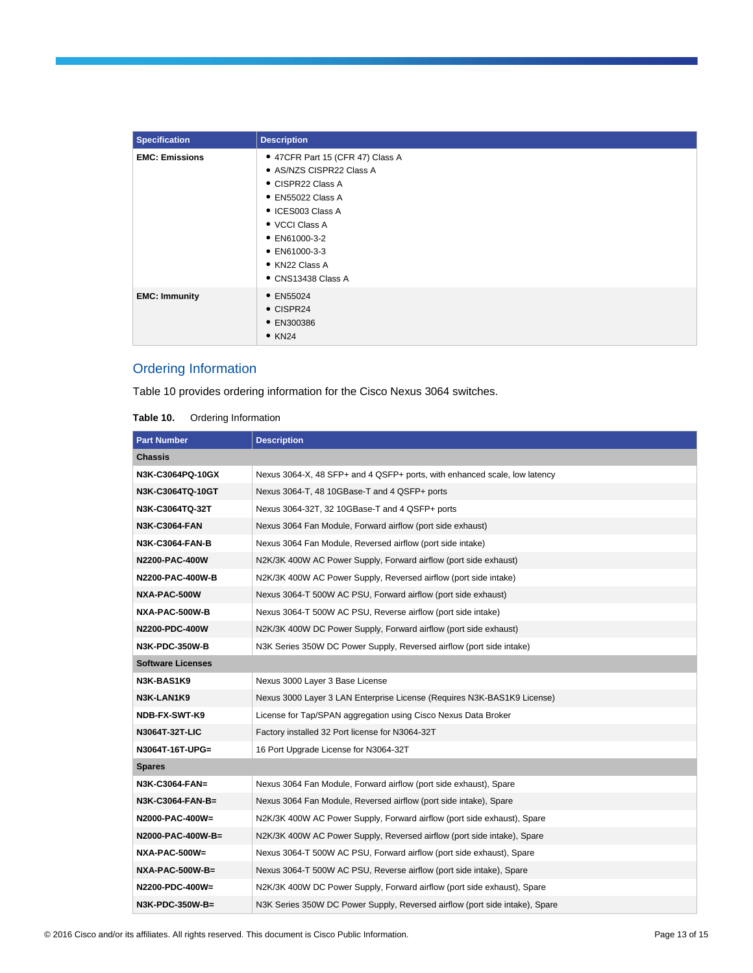| <b>Specification</b>  | <b>Description</b>                                                                                                                                                                                                              |
|-----------------------|---------------------------------------------------------------------------------------------------------------------------------------------------------------------------------------------------------------------------------|
| <b>EMC: Emissions</b> | • 47CFR Part 15 (CFR 47) Class A<br>• AS/NZS CISPR22 Class A<br>• CISPR22 Class A<br>• EN55022 Class A<br>• ICES003 Class A<br>• VCCI Class A<br>$\bullet$ EN61000-3-2<br>• EN61000-3-3<br>• KN22 Class A<br>• CNS13438 Class A |
| <b>EMC: Immunity</b>  | • EN55024<br>• CISPR24<br>• EN300386<br>$\bullet$ KN24                                                                                                                                                                          |

# Ordering Information

Table 10 provides ordering information for the Cisco Nexus 3064 switches.

| Table 10. | Ordering Information |
|-----------|----------------------|
|-----------|----------------------|

| <b>Part Number</b>       | <b>Description</b>                                                          |  |
|--------------------------|-----------------------------------------------------------------------------|--|
| Chassis                  |                                                                             |  |
| N3K-C3064PQ-10GX         | Nexus 3064-X, 48 SFP+ and 4 QSFP+ ports, with enhanced scale, low latency   |  |
| N3K-C3064TQ-10GT         | Nexus 3064-T, 48 10GBase-T and 4 QSFP+ ports                                |  |
| N3K-C3064TQ-32T          | Nexus 3064-32T, 32 10GBase-T and 4 QSFP+ ports                              |  |
| <b>N3K-C3064-FAN</b>     | Nexus 3064 Fan Module, Forward airflow (port side exhaust)                  |  |
| N3K-C3064-FAN-B          | Nexus 3064 Fan Module, Reversed airflow (port side intake)                  |  |
| N2200-PAC-400W           | N2K/3K 400W AC Power Supply, Forward airflow (port side exhaust)            |  |
| N2200-PAC-400W-B         | N2K/3K 400W AC Power Supply, Reversed airflow (port side intake)            |  |
| NXA-PAC-500W             | Nexus 3064-T 500W AC PSU, Forward airflow (port side exhaust)               |  |
| NXA-PAC-500W-B           | Nexus 3064-T 500W AC PSU, Reverse airflow (port side intake)                |  |
| N2200-PDC-400W           | N2K/3K 400W DC Power Supply, Forward airflow (port side exhaust)            |  |
| N3K-PDC-350W-B           | N3K Series 350W DC Power Supply, Reversed airflow (port side intake)        |  |
| <b>Software Licenses</b> |                                                                             |  |
| N3K-BAS1K9               | Nexus 3000 Layer 3 Base License                                             |  |
| N3K-LAN1K9               | Nexus 3000 Layer 3 LAN Enterprise License (Requires N3K-BAS1K9 License)     |  |
| NDB-FX-SWT-K9            | License for Tap/SPAN aggregation using Cisco Nexus Data Broker              |  |
| N3064T-32T-LIC           | Factory installed 32 Port license for N3064-32T                             |  |
| N3064T-16T-UPG=          | 16 Port Upgrade License for N3064-32T                                       |  |
| <b>Spares</b>            |                                                                             |  |
| N3K-C3064-FAN=           | Nexus 3064 Fan Module, Forward airflow (port side exhaust), Spare           |  |
| N3K-C3064-FAN-B=         | Nexus 3064 Fan Module, Reversed airflow (port side intake), Spare           |  |
| N2000-PAC-400W=          | N2K/3K 400W AC Power Supply, Forward airflow (port side exhaust), Spare     |  |
| N2000-PAC-400W-B=        | N2K/3K 400W AC Power Supply, Reversed airflow (port side intake), Spare     |  |
| NXA-PAC-500W=            | Nexus 3064-T 500W AC PSU, Forward airflow (port side exhaust), Spare        |  |
| <b>NXA-PAC-500W-B=</b>   | Nexus 3064-T 500W AC PSU, Reverse airflow (port side intake), Spare         |  |
| N2200-PDC-400W=          | N2K/3K 400W DC Power Supply, Forward airflow (port side exhaust), Spare     |  |
| N3K-PDC-350W-B=          | N3K Series 350W DC Power Supply, Reversed airflow (port side intake), Spare |  |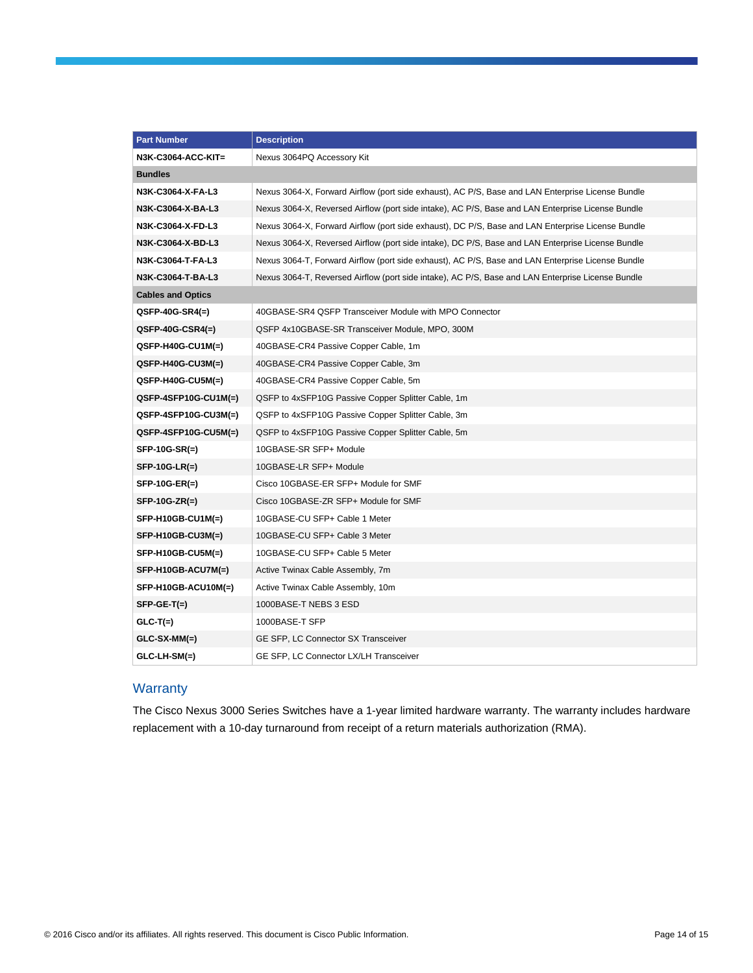| <b>Part Number</b>       | <b>Description</b>                                                                                |
|--------------------------|---------------------------------------------------------------------------------------------------|
| N3K-C3064-ACC-KIT=       | Nexus 3064PQ Accessory Kit                                                                        |
| <b>Bundles</b>           |                                                                                                   |
| N3K-C3064-X-FA-L3        | Nexus 3064-X, Forward Airflow (port side exhaust), AC P/S, Base and LAN Enterprise License Bundle |
| N3K-C3064-X-BA-L3        | Nexus 3064-X, Reversed Airflow (port side intake), AC P/S, Base and LAN Enterprise License Bundle |
| N3K-C3064-X-FD-L3        | Nexus 3064-X, Forward Airflow (port side exhaust), DC P/S, Base and LAN Enterprise License Bundle |
| N3K-C3064-X-BD-L3        | Nexus 3064-X, Reversed Airflow (port side intake), DC P/S, Base and LAN Enterprise License Bundle |
| N3K-C3064-T-FA-L3        | Nexus 3064-T, Forward Airflow (port side exhaust), AC P/S, Base and LAN Enterprise License Bundle |
| N3K-C3064-T-BA-L3        | Nexus 3064-T, Reversed Airflow (port side intake), AC P/S, Base and LAN Enterprise License Bundle |
| <b>Cables and Optics</b> |                                                                                                   |
| $QSFP-40G-SR4(=)$        | 40GBASE-SR4 QSFP Transceiver Module with MPO Connector                                            |
| $QSFP-40G-CSR4(=)$       | QSFP 4x10GBASE-SR Transceiver Module, MPO, 300M                                                   |
| QSFP-H40G-CU1M(=)        | 40GBASE-CR4 Passive Copper Cable, 1m                                                              |
| QSFP-H40G-CU3M(=)        | 40GBASE-CR4 Passive Copper Cable, 3m                                                              |
| QSFP-H40G-CU5M(=)        | 40GBASE-CR4 Passive Copper Cable, 5m                                                              |
| QSFP-4SFP10G-CU1M(=)     | QSFP to 4xSFP10G Passive Copper Splitter Cable, 1m                                                |
| QSFP-4SFP10G-CU3M(=)     | QSFP to 4xSFP10G Passive Copper Splitter Cable, 3m                                                |
| QSFP-4SFP10G-CU5M(=)     | QSFP to 4xSFP10G Passive Copper Splitter Cable, 5m                                                |
| SFP-10G-SR(=)            | 10GBASE-SR SFP+ Module                                                                            |
| <b>SFP-10G-LR(=)</b>     | 10GBASE-LR SFP+ Module                                                                            |
| SFP-10G-ER(=)            | Cisco 10GBASE-ER SFP+ Module for SMF                                                              |
| SFP-10G-ZR(=)            | Cisco 10GBASE-ZR SFP+ Module for SMF                                                              |
| SFP-H10GB-CU1M(=)        | 10GBASE-CU SFP+ Cable 1 Meter                                                                     |
| SFP-H10GB-CU3M(=)        | 10GBASE-CU SFP+ Cable 3 Meter                                                                     |
| SFP-H10GB-CU5M(=)        | 10GBASE-CU SFP+ Cable 5 Meter                                                                     |
| SFP-H10GB-ACU7M(=)       | Active Twinax Cable Assembly, 7m                                                                  |
| SFP-H10GB-ACU10M(=)      | Active Twinax Cable Assembly, 10m                                                                 |
| $SFP-GE-T(=)$            | 1000BASE-T NEBS 3 ESD                                                                             |
| $GLC-T(=)$               | 1000BASE-T SFP                                                                                    |
| GLC-SX-MM(=)             | GE SFP, LC Connector SX Transceiver                                                               |
| GLC-LH-SM(=)             | GE SFP, LC Connector LX/LH Transceiver                                                            |

# **Warranty**

The Cisco Nexus 3000 Series Switches have a 1-year limited hardware warranty. The warranty includes hardware replacement with a 10-day turnaround from receipt of a return materials authorization (RMA).